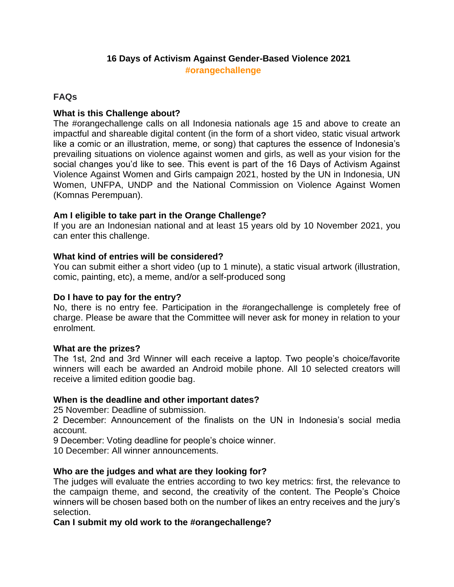# **16 Days of Activism Against Gender-Based Violence 2021 #orangechallenge**

## **FAQs**

# **What is this Challenge about?**

The #orangechallenge calls on all Indonesia nationals age 15 and above to create an impactful and shareable digital content (in the form of a short video, static visual artwork like a comic or an illustration, meme, or song) that captures the essence of Indonesia's prevailing situations on violence against women and girls, as well as your vision for the social changes you'd like to see. This event is part of the 16 Days of Activism Against Violence Against Women and Girls campaign 2021, hosted by the UN in Indonesia, UN Women, UNFPA, UNDP and the National Commission on Violence Against Women (Komnas Perempuan).

## **Am I eligible to take part in the Orange Challenge?**

If you are an Indonesian national and at least 15 years old by 10 November 2021, you can enter this challenge.

## **What kind of entries will be considered?**

You can submit either a short video (up to 1 minute), a static visual artwork (illustration, comic, painting, etc), a meme, and/or a self-produced song

#### **Do I have to pay for the entry?**

No, there is no entry fee. Participation in the #orangechallenge is completely free of charge. Please be aware that the Committee will never ask for money in relation to your enrolment.

#### **What are the prizes?**

The 1st, 2nd and 3rd Winner will each receive a laptop. Two people's choice/favorite winners will each be awarded an Android mobile phone. All 10 selected creators will receive a limited edition goodie bag.

#### **When is the deadline and other important dates?**

25 November: Deadline of submission.

2 December: Announcement of the finalists on the UN in Indonesia's social media account.

9 December: Voting deadline for people's choice winner.

10 December: All winner announcements.

#### **Who are the judges and what are they looking for?**

The judges will evaluate the entries according to two key metrics: first, the relevance to the campaign theme, and second, the creativity of the content. The People's Choice winners will be chosen based both on the number of likes an entry receives and the jury's selection.

**Can I submit my old work to the #orangechallenge?**